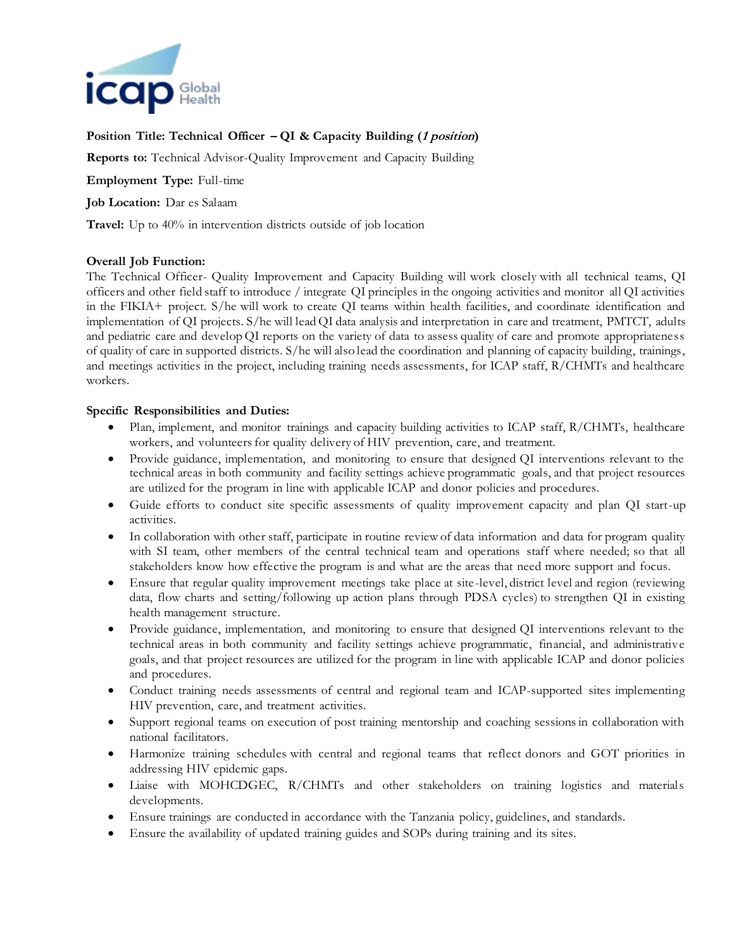

## **Position Title: Technical Officer – QI & Capacity Building (1 position)**

**Reports to:** Technical Advisor-Quality Improvement and Capacity Building

**Employment Type:** Full-time

**Job Location:** Dar es Salaam

**Travel:** Up to 40% in intervention districts outside of job location

## **Overall Job Function:**

The Technical Officer- Quality Improvement and Capacity Building will work closely with all technical teams, QI officers and other field staff to introduce / integrate QI principles in the ongoing activities and monitor all QI activities in the FIKIA+ project. S/he will work to create QI teams within health facilities, and coordinate identification and implementation of QI projects. S/he will lead QI data analysis and interpretation in care and treatment, PMTCT, adults and pediatric care and develop QI reports on the variety of data to assess quality of care and promote appropriateness of quality of care in supported districts. S/he will also lead the coordination and planning of capacity building, trainings, and meetings activities in the project, including training needs assessments, for ICAP staff, R/CHMTs and healthcare workers.

## **Specific Responsibilities and Duties:**

- Plan, implement, and monitor trainings and capacity building activities to ICAP staff, R/CHMTs, healthcare workers, and volunteers for quality delivery of HIV prevention, care, and treatment.
- Provide guidance, implementation, and monitoring to ensure that designed QI interventions relevant to the technical areas in both community and facility settings achieve programmatic goals, and that project resources are utilized for the program in line with applicable ICAP and donor policies and procedures.
- Guide efforts to conduct site specific assessments of quality improvement capacity and plan QI start-up activities.
- In collaboration with other staff, participate in routine review of data information and data for program quality with SI team, other members of the central technical team and operations staff where needed; so that all stakeholders know how effective the program is and what are the areas that need more support and focus.
- Ensure that regular quality improvement meetings take place at site-level, district level and region (reviewing data, flow charts and setting/following up action plans through PDSA cycles) to strengthen QI in existing health management structure.
- Provide guidance, implementation, and monitoring to ensure that designed QI interventions relevant to the technical areas in both community and facility settings achieve programmatic, financial, and administrative goals, and that project resources are utilized for the program in line with applicable ICAP and donor policies and procedures.
- Conduct training needs assessments of central and regional team and ICAP-supported sites implementing HIV prevention, care, and treatment activities.
- Support regional teams on execution of post training mentorship and coaching sessions in collaboration with national facilitators.
- Harmonize training schedules with central and regional teams that reflect donors and GOT priorities in addressing HIV epidemic gaps.
- Liaise with MOHCDGEC, R/CHMTs and other stakeholders on training logistics and materials developments.
- Ensure trainings are conducted in accordance with the Tanzania policy, guidelines, and standards.
- Ensure the availability of updated training guides and SOPs during training and its sites.